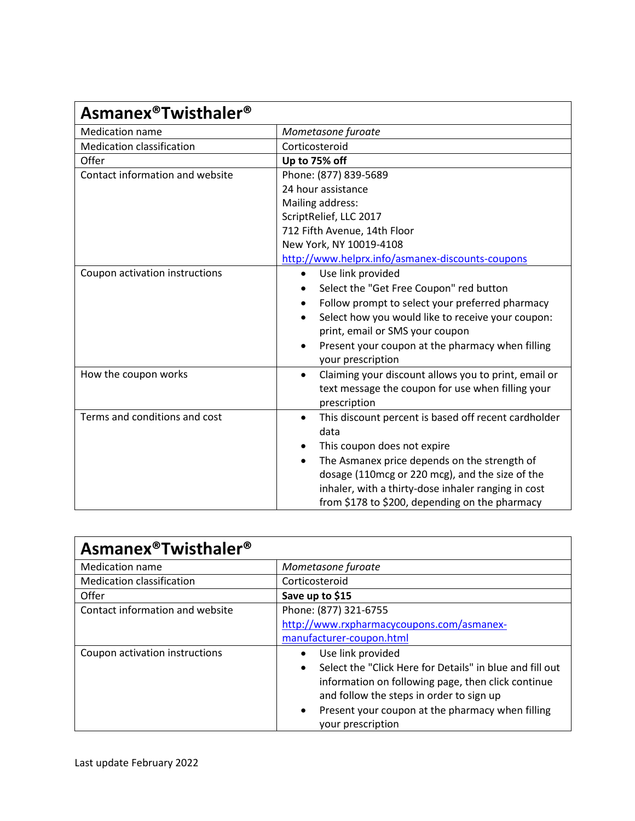| <b>Asmanex<sup>®</sup>Twisthaler<sup>®</sup></b> |                                                                                                                                |
|--------------------------------------------------|--------------------------------------------------------------------------------------------------------------------------------|
| <b>Medication name</b>                           | Mometasone furoate                                                                                                             |
| <b>Medication classification</b>                 | Corticosteroid                                                                                                                 |
| Offer                                            | Up to 75% off                                                                                                                  |
| Contact information and website                  | Phone: (877) 839-5689                                                                                                          |
|                                                  | 24 hour assistance                                                                                                             |
|                                                  | Mailing address:                                                                                                               |
|                                                  | ScriptRelief, LLC 2017                                                                                                         |
|                                                  | 712 Fifth Avenue, 14th Floor                                                                                                   |
|                                                  | New York, NY 10019-4108                                                                                                        |
|                                                  | http://www.helprx.info/asmanex-discounts-coupons                                                                               |
| Coupon activation instructions                   | Use link provided<br>$\bullet$                                                                                                 |
|                                                  | Select the "Get Free Coupon" red button                                                                                        |
|                                                  | Follow prompt to select your preferred pharmacy<br>$\bullet$                                                                   |
|                                                  | Select how you would like to receive your coupon:                                                                              |
|                                                  | print, email or SMS your coupon                                                                                                |
|                                                  | Present your coupon at the pharmacy when filling<br>your prescription                                                          |
| How the coupon works                             | Claiming your discount allows you to print, email or<br>٠<br>text message the coupon for use when filling your<br>prescription |
| Terms and conditions and cost                    | This discount percent is based off recent cardholder<br>$\bullet$<br>data                                                      |
|                                                  | This coupon does not expire                                                                                                    |
|                                                  | The Asmanex price depends on the strength of<br>$\bullet$                                                                      |
|                                                  | dosage (110mcg or 220 mcg), and the size of the                                                                                |
|                                                  | inhaler, with a thirty-dose inhaler ranging in cost                                                                            |
|                                                  | from \$178 to \$200, depending on the pharmacy                                                                                 |

| <b>Asmanex<sup>®</sup>Twisthaler<sup>®</sup></b> |                                                                                                                                                                                                                                                                                    |
|--------------------------------------------------|------------------------------------------------------------------------------------------------------------------------------------------------------------------------------------------------------------------------------------------------------------------------------------|
| <b>Medication name</b>                           | Mometasone furoate                                                                                                                                                                                                                                                                 |
| Medication classification                        | Corticosteroid                                                                                                                                                                                                                                                                     |
| Offer                                            | Save up to \$15                                                                                                                                                                                                                                                                    |
| Contact information and website                  | Phone: (877) 321-6755<br>http://www.rxpharmacycoupons.com/asmanex-<br>manufacturer-coupon.html                                                                                                                                                                                     |
| Coupon activation instructions                   | Use link provided<br>Select the "Click Here for Details" in blue and fill out<br>$\bullet$<br>information on following page, then click continue<br>and follow the steps in order to sign up<br>Present your coupon at the pharmacy when filling<br>$\bullet$<br>your prescription |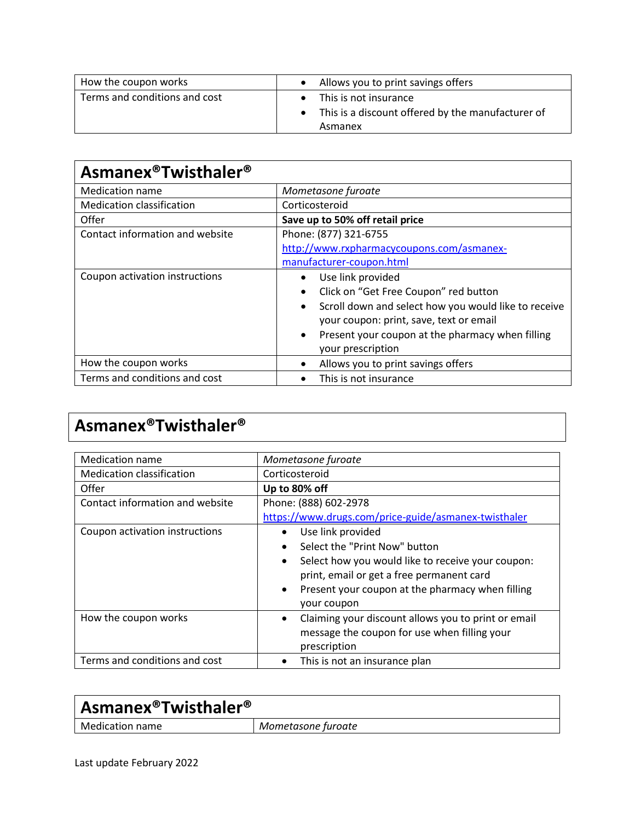| How the coupon works          | Allows you to print savings offers                                                    |
|-------------------------------|---------------------------------------------------------------------------------------|
| Terms and conditions and cost | This is not insurance<br>This is a discount offered by the manufacturer of<br>Asmanex |

| <b>Asmanex<sup>®</sup>Twisthaler<sup>®</sup></b> |                                                                   |
|--------------------------------------------------|-------------------------------------------------------------------|
| <b>Medication name</b>                           | Mometasone furoate                                                |
| <b>Medication classification</b>                 | Corticosteroid                                                    |
| Offer                                            | Save up to 50% off retail price                                   |
| Contact information and website                  | Phone: (877) 321-6755                                             |
|                                                  | http://www.rxpharmacycoupons.com/asmanex-                         |
|                                                  | manufacturer-coupon.html                                          |
| Coupon activation instructions                   | Use link provided<br>$\bullet$                                    |
|                                                  | Click on "Get Free Coupon" red button<br>$\bullet$                |
|                                                  | Scroll down and select how you would like to receive<br>$\bullet$ |
|                                                  | your coupon: print, save, text or email                           |
|                                                  | Present your coupon at the pharmacy when filling<br>$\bullet$     |
|                                                  | your prescription                                                 |
| How the coupon works                             | Allows you to print savings offers<br>$\bullet$                   |
| Terms and conditions and cost                    | This is not insurance<br>$\bullet$                                |

## **Asmanex®Twisthaler®**

| <b>Medication name</b>           | Mometasone furoate                                     |
|----------------------------------|--------------------------------------------------------|
| <b>Medication classification</b> | Corticosteroid                                         |
| Offer                            | Up to 80% off                                          |
| Contact information and website  | Phone: (888) 602-2978                                  |
|                                  | https://www.drugs.com/price-guide/asmanex-twisthaler   |
| Coupon activation instructions   | Use link provided                                      |
|                                  | Select the "Print Now" button                          |
|                                  | Select how you would like to receive your coupon:<br>٠ |
|                                  | print, email or get a free permanent card              |
|                                  | Present your coupon at the pharmacy when filling<br>٠  |
|                                  | your coupon                                            |
| How the coupon works             | Claiming your discount allows you to print or email    |
|                                  | message the coupon for use when filling your           |
|                                  | prescription                                           |
| Terms and conditions and cost    | This is not an insurance plan                          |

| $\vert$ Asmanex®Twisthaler® |                    |
|-----------------------------|--------------------|
| Medication name             | Mometasone furoate |